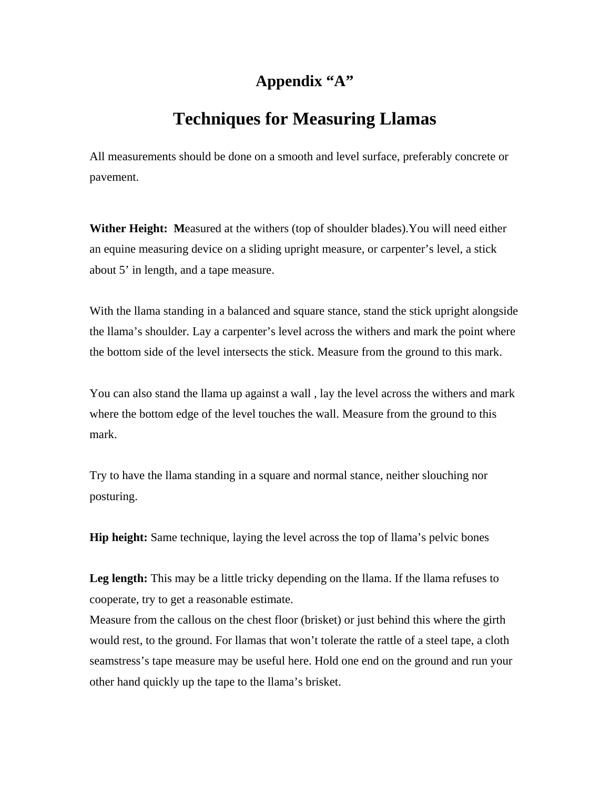## **Appendix "A"**

## **Techniques for Measuring Llamas**

All measurements should be done on a smooth and level surface, preferably concrete or pavement.

**Wither Height: M**easured at the withers (top of shoulder blades).You will need either an equine measuring device on a sliding upright measure, or carpenter's level, a stick about 5' in length, and a tape measure.

With the llama standing in a balanced and square stance, stand the stick upright alongside the llama's shoulder. Lay a carpenter's level across the withers and mark the point where the bottom side of the level intersects the stick. Measure from the ground to this mark.

You can also stand the llama up against a wall , lay the level across the withers and mark where the bottom edge of the level touches the wall. Measure from the ground to this mark.

Try to have the llama standing in a square and normal stance, neither slouching nor posturing.

**Hip height:** Same technique, laying the level across the top of llama's pelvic bones

Leg length: This may be a little tricky depending on the Ilama. If the Ilama refuses to cooperate, try to get a reasonable estimate.

Measure from the callous on the chest floor (brisket) or just behind this where the girth would rest, to the ground. For llamas that won't tolerate the rattle of a steel tape, a cloth seamstress's tape measure may be useful here. Hold one end on the ground and run your other hand quickly up the tape to the llama's brisket.